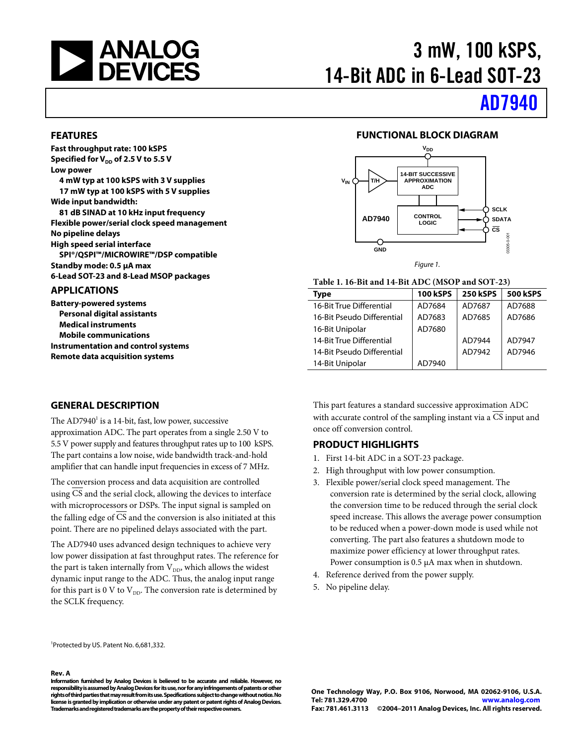

# 3 mW, 100 kSPS, 14-Bit ADC in 6-Lead SOT-23

# [AD7940](http://www.analog.com/AD7940)

#### **FEATURES**

**Fast throughput rate: 100 kSPS** Specified for V<sub>DD</sub> of 2.5 V to 5.5 V **Low power**

**4 mW typ at 100 kSPS with 3 V supplies 17 mW typ at 100 kSPS with 5 V supplies Wide input bandwidth:**

**81 dB SINAD at 10 kHz input frequency Flexible power/serial clock speed management No pipeline delays High speed serial interface SPI®/QSPI™/MICROWIRE™/DSP compatible Standby mode: 0.5 µA max**

**6-Lead SOT-23 and 8-Lead MSOP packages**

#### **APPLICATIONS**

**Battery-powered systems Personal digital assistants Medical instruments Mobile communications Instrumentation and control systems Remote data acquisition systems**

#### **GENERAL DESCRIPTION**

The  $AD7940^1$  is a 14-bit, fast, low power, successive

approximation ADC. The part operates from a single 2.50 V to 5.5 V power supply and features throughput rates up to 100 kSPS. The part contains a low noise, wide bandwidth track-and-hold amplifier that can handle input frequencies in excess of 7 MHz.

The conversion process and data acquisition are controlled using CS and the serial clock, allowing the devices to interface with microprocessors or DSPs. The input signal is sampled on the falling edge of  $\overline{CS}$  and the conversion is also initiated at this point. There are no pipelined delays associated with the part.

The AD7940 uses advanced design techniques to achieve very low power dissipation at fast throughput rates. The reference for the part is taken internally from  $V_{DD}$ , which allows the widest dynamic input range to the ADC. Thus, the analog input range for this part is 0 V to  $V_{DD}$ . The conversion rate is determined by the SCLK frequency.

1 Protected by US. Patent No. 6,681,332.

#### **Rev. A**

**Information furnished by Analog Devices is believed to be accurate and reliable. However, no responsibility is assumed by Analog Devices for its use, nor for any infringements of patents or other rights of third parties that may result from its use. Specifications subject to change without notice. No license is granted by implication or otherwise under any patent or patent rights of Analog Devices. Trademarks and registered trademarks are the property of their respective owners.**



#### **Table 1. 16-Bit and 14-Bit ADC (MSOP and SOT-23)**

| Type                       | <b>100 kSPS</b> | <b>250 kSPS</b> | <b>500 kSPS</b> |
|----------------------------|-----------------|-----------------|-----------------|
| 16-Bit True Differential   | AD7684          | AD7687          | AD7688          |
| 16-Bit Pseudo Differential | AD7683          | AD7685          | AD7686          |
| 16-Bit Unipolar            | AD7680          |                 |                 |
| 14-Bit True Differential   |                 | AD7944          | AD7947          |
| 14-Bit Pseudo Differential |                 | AD7942          | AD7946          |
| 14-Bit Unipolar            | AD7940          |                 |                 |

This part features a standard successive approximation ADC with accurate control of the sampling instant via a CS input and once off conversion control.

#### **PRODUCT HIGHLIGHTS**

- 1. First 14-bit ADC in a SOT-23 package.
- 2. High throughput with low power consumption.
- 3. Flexible power/serial clock speed management. The conversion rate is determined by the serial clock, allowing the conversion time to be reduced through the serial clock speed increase. This allows the average power consumption to be reduced when a power-down mode is used while not converting. The part also features a shutdown mode to maximize power efficiency at lower throughput rates. Power consumption is 0.5  $\mu$ A max when in shutdown.
- 4. Reference derived from the power supply.
- 5. No pipeline delay.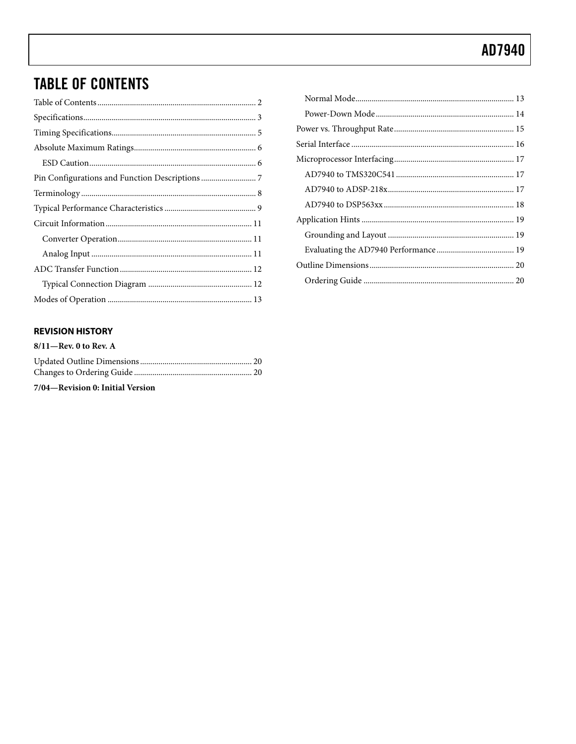## <span id="page-1-0"></span>**TABLE OF CONTENTS**

### **REVISION HISTORY**

| $8/11$ —Rev. 0 to Rev. A         |  |
|----------------------------------|--|
|                                  |  |
|                                  |  |
| 7/04—Revision 0: Initial Version |  |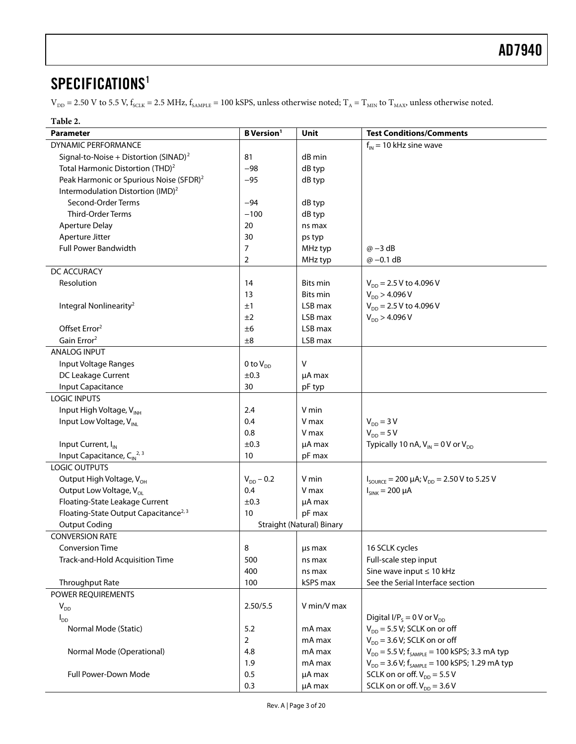## <span id="page-2-0"></span>SPECIFICATIONS<sup>1</sup>

 $V_{DD}$  = 2.50 V to 5.5 V,  $f_{SCLK}$  = 2.5 MHz,  $f_{SAMPLE}$  = 100 kSPS, unless otherwise noted;  $T_A$  =  $T_{MIN}$  to  $T_{MAX}$ , unless otherwise noted.

| Parameter                                           | <b>B</b> Version <sup>1</sup> | Unit                             | <b>Test Conditions/Comments</b>                                                 |
|-----------------------------------------------------|-------------------------------|----------------------------------|---------------------------------------------------------------------------------|
| DYNAMIC PERFORMANCE                                 |                               |                                  | $f_{IN}$ = 10 kHz sine wave                                                     |
| Signal-to-Noise + Distortion (SINAD) <sup>2</sup>   | 81                            | dB min                           |                                                                                 |
| Total Harmonic Distortion (THD) <sup>2</sup>        | $-98$                         | dB typ                           |                                                                                 |
| Peak Harmonic or Spurious Noise (SFDR) <sup>2</sup> | $-95$                         | dB typ                           |                                                                                 |
| Intermodulation Distortion (IMD) <sup>2</sup>       |                               |                                  |                                                                                 |
| Second-Order Terms                                  | $-94$                         | dB typ                           |                                                                                 |
| Third-Order Terms                                   | $-100$                        | dB typ                           |                                                                                 |
| <b>Aperture Delay</b>                               | 20                            | ns max                           |                                                                                 |
| Aperture Jitter                                     | 30                            | ps typ                           |                                                                                 |
| Full Power Bandwidth                                | 7                             | MHz typ                          | $\omega$ -3 dB                                                                  |
|                                                     | 2                             | MHz typ                          | $@ -0.1 dB$                                                                     |
| DC ACCURACY                                         |                               |                                  |                                                                                 |
| Resolution                                          | 14                            | Bits min                         | $V_{DD}$ = 2.5 V to 4.096 V                                                     |
|                                                     | 13                            | Bits min                         | $V_{DD}$ > 4.096 V                                                              |
| Integral Nonlinearity <sup>2</sup>                  | ±1                            | LSB max                          | $V_{DD}$ = 2.5 V to 4.096 V                                                     |
|                                                     | ±2                            | LSB max                          | $V_{DD}$ > 4.096 V                                                              |
| Offset Error <sup>2</sup>                           | ±6                            | LSB max                          |                                                                                 |
| Gain Error <sup>2</sup>                             | ±8                            | LSB max                          |                                                                                 |
| <b>ANALOG INPUT</b>                                 |                               |                                  |                                                                                 |
| Input Voltage Ranges                                | 0 to $V_{DD}$                 | $\vee$                           |                                                                                 |
| DC Leakage Current                                  | ±0.3                          | $\mu$ A max                      |                                                                                 |
| Input Capacitance                                   | 30                            | pF typ                           |                                                                                 |
| <b>LOGIC INPUTS</b>                                 |                               |                                  |                                                                                 |
| Input High Voltage, VINH                            | 2.4                           | V min                            |                                                                                 |
| Input Low Voltage, V <sub>INL</sub>                 | 0.4                           | V max                            | $V_{DD} = 3 V$                                                                  |
|                                                     | 0.8                           | V max                            | $V_{DD} = 5 V$                                                                  |
| Input Current, I <sub>N</sub>                       | ±0.3                          | µA max                           | Typically 10 nA, $V_{IN} = 0$ V or $V_{DD}$                                     |
| Input Capacitance, $C_{IN}^{2,3}$                   | 10                            | pF max                           |                                                                                 |
| <b>LOGIC OUTPUTS</b>                                |                               |                                  |                                                                                 |
| Output High Voltage, V <sub>OH</sub>                | $V_{DD}$ – 0.2                | V min                            | $I_{\text{SOWRCE}} = 200 \mu\text{A}; V_{\text{DD}} = 2.50 \text{ V}$ to 5.25 V |
| Output Low Voltage, V <sub>OL</sub>                 | 0.4                           | V max                            | $I_{SINK} = 200 \mu A$                                                          |
| Floating-State Leakage Current                      | ±0.3                          | µA max                           |                                                                                 |
| Floating-State Output Capacitance <sup>2, 3</sup>   | 10                            | pF max                           |                                                                                 |
| <b>Output Coding</b>                                |                               | <b>Straight (Natural) Binary</b> |                                                                                 |
| <b>CONVERSION RATE</b>                              |                               |                                  |                                                                                 |
| <b>Conversion Time</b>                              | 8                             |                                  | 16 SCLK cycles                                                                  |
| Track-and-Hold Acquisition Time                     | 500                           | us max<br>ns max                 | Full-scale step input                                                           |
|                                                     | 400                           |                                  | Sine wave input $\leq 10$ kHz                                                   |
| Throughput Rate                                     | 100                           | ns max<br>kSPS max               | See the Serial Interface section                                                |
| <b>POWER REOUIREMENTS</b>                           |                               |                                  |                                                                                 |
|                                                     |                               | V min/V max                      |                                                                                 |
| $V_{DD}$                                            | 2.50/5.5                      |                                  | Digital I/P <sub>s</sub> = 0 V or $V_{DD}$                                      |
| $I_{DD}$                                            |                               |                                  | $V_{DD}$ = 5.5 V; SCLK on or off                                                |
| Normal Mode (Static)                                | 5.2                           | mA max                           | $V_{DD}$ = 3.6 V; SCLK on or off                                                |
|                                                     | $\overline{2}$                | mA max                           |                                                                                 |
| Normal Mode (Operational)                           | 4.8                           | mA max                           | $V_{DD}$ = 5.5 V; $f_{SAMPLE}$ = 100 kSPS; 3.3 mA typ                           |
|                                                     | 1.9                           | mA max                           | $V_{DD}$ = 3.6 V; $f_{s_{AMPIF}}$ = 100 kSPS; 1.29 mA typ                       |
| Full Power-Down Mode                                | 0.5                           | µA max                           | SCLK on or off. $V_{DD} = 5.5 V$                                                |
|                                                     | 0.3                           | µA max                           | SCLK on or off. $V_{DD} = 3.6 V$                                                |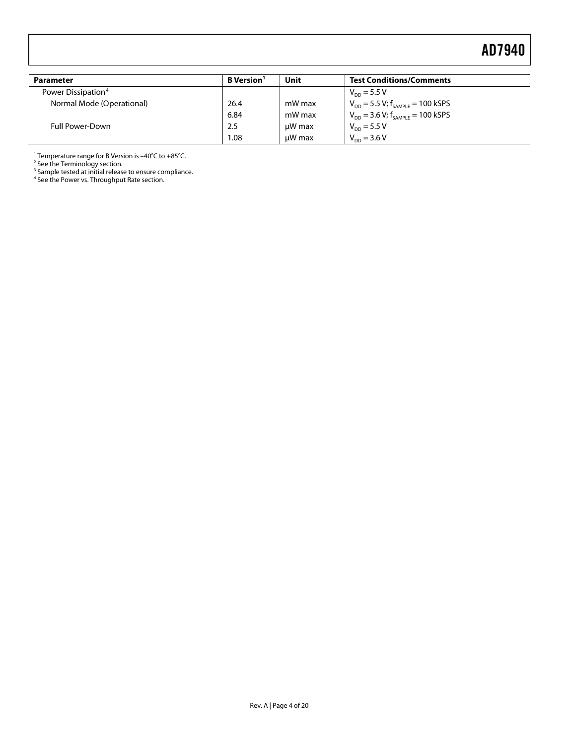<span id="page-3-0"></span>

| Parameter                      | <b>B</b> Version <sup>1</sup> | Unit   | <b>Test Conditions/Comments</b>           |
|--------------------------------|-------------------------------|--------|-------------------------------------------|
| Power Dissipation <sup>4</sup> |                               |        | $V_{\text{DD}} = 5.5 V$                   |
| Normal Mode (Operational)      | 26.4                          | mW max | $V_{DD}$ = 5.5 V; $f_{SAMPLE}$ = 100 kSPS |
|                                | 6.84                          | mW max | $V_{DD}$ = 3.6 V; $f_{SAMPLE}$ = 100 kSPS |
| <b>Full Power-Down</b>         | 2.5                           | uW max | $V_{DD} = 5.5 V$                          |
|                                | 1.08                          | uW max | $V_{DD} = 3.6 V$                          |

<sup>1</sup> Temperature range for B Version is -40°C to +85°C.

<sup>2</sup> See th[e Terminology](#page-7-0) section.

<sup>3</sup> Sample tested at initial release to ensure compliance.

<sup>4</sup> See th[e Power vs. Throughput Rate](#page-14-0) section.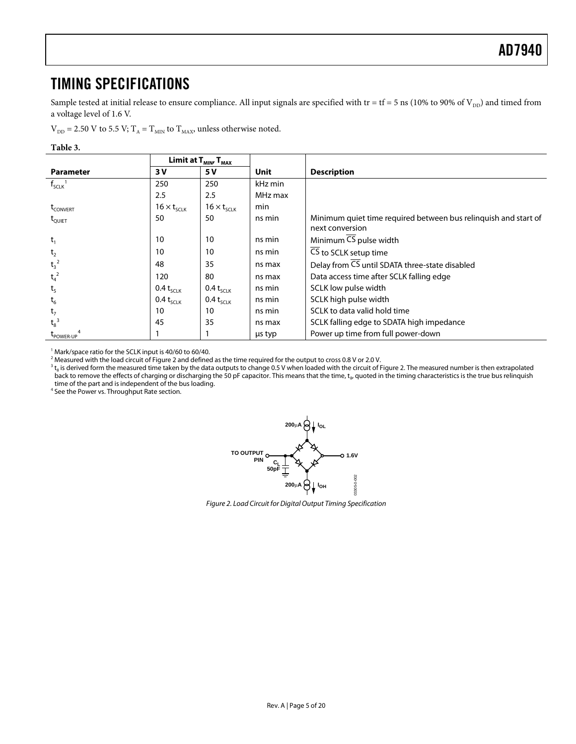## <span id="page-4-0"></span>TIMING SPECIFICATIONS

Sample tested at initial release to ensure compliance. All input signals are specified with tr = tf = 5 ns (10% to 90% of  $V_{DD}$ ) and timed from a voltage level of 1.6 V.

 $\rm V_{\rm DD}$  = 2.50 V to 5.5 V; T $_{\rm A}$  = T $_{\rm MIN}$  to T $_{\rm MAX}$  unless otherwise noted.

#### **Table 3.**

|                         | Limit at $\mathsf{T}_{\textsf{MIN'}}\,\mathsf{T}_{\textsf{MAX}}$ |                      |         |                                                                                    |
|-------------------------|------------------------------------------------------------------|----------------------|---------|------------------------------------------------------------------------------------|
| <b>Parameter</b>        | 3 V                                                              | <b>5 V</b>           | Unit    | <b>Description</b>                                                                 |
| $f_{SCLK}$ <sup>1</sup> | 250                                                              | 250                  | kHz min |                                                                                    |
|                         | 2.5                                                              | 2.5                  | MHz max |                                                                                    |
| t <sub>CONVERT</sub>    | $16 \times t_{SCLK}$                                             | $16 \times t_{SCLK}$ | min     |                                                                                    |
| $\rm{t_{\rm{QUIET}}}$   | 50                                                               | 50                   | ns min  | Minimum quiet time required between bus relinquish and start of<br>next conversion |
| $t_1$                   | 10                                                               | 10                   | ns min  | Minimum CS pulse width                                                             |
| t <sub>2</sub>          | 10                                                               | 10                   | ns min  | $\overline{\text{CS}}$ to SCLK setup time                                          |
| $t_3^2$                 | 48                                                               | 35                   | ns max  | Delay from CS until SDATA three-state disabled                                     |
| $t_4^2$                 | 120                                                              | 80                   | ns max  | Data access time after SCLK falling edge                                           |
| t <sub>5</sub>          | $0.4 t_{SCLK}$                                                   | $0.4 t_{SCLK}$       | ns min  | SCLK low pulse width                                                               |
| $t_6$                   | $0.4 t_{SCLK}$                                                   | $0.4 t_{SCLK}$       | ns min  | SCLK high pulse width                                                              |
| t <sub>7</sub>          | 10                                                               | 10                   | ns min  | SCLK to data valid hold time                                                       |
| $t_8^3$                 | 45                                                               | 35                   | ns max  | SCLK falling edge to SDATA high impedance                                          |
| LPOWER-UP               |                                                                  |                      | us typ  | Power up time from full power-down                                                 |

<sup>1</sup> Mark/space ratio for the SCLK input is 40/60 to 60/40.

<sup>2</sup> Measured with the load circuit o[f Figure 2](#page-4-1) and defined as the time required for the output to cross 0.8 V or 2.0 V.

 $^3$  t<sub>s</sub> is derived form the measured time taken by the data outputs to change 0.5 V when loaded with the circuit o[f Figure 2.](#page-4-1) The measured number is then extrapolated back to remove the effects of charging or discharging the 50 pF capacitor. This means that the time, t<sub>8</sub>, quoted in the timing characteristics is the true bus relinquish time of the part and is independent of the bus loading.

<span id="page-4-1"></span><sup>4</sup> See th[e Power vs. Throughput Rate](#page-14-0) section.



*Figure 2. Load Circuit for Digital Output Timing Specification*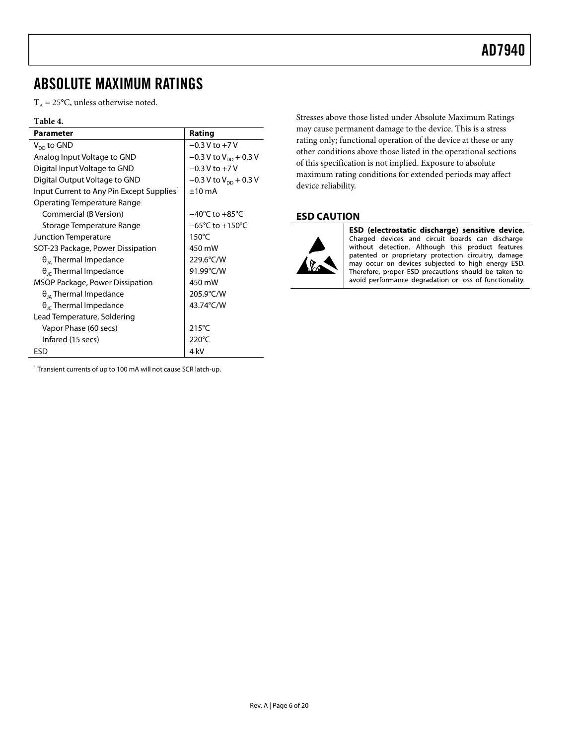## <span id="page-5-0"></span>ABSOLUTE MAXIMUM RATINGS

 $T_A = 25$ °C, unless otherwise noted.

#### **Table 4.**

| Parameter                                             | Rating                              |
|-------------------------------------------------------|-------------------------------------|
| $V_{DD}$ to GND                                       | $-0.3$ V to $+7$ V                  |
| Analog Input Voltage to GND                           | $-0.3$ V to V <sub>pp</sub> + 0.3 V |
| Digital Input Voltage to GND                          | $-0.3$ V to $+7$ V                  |
| Digital Output Voltage to GND                         | $-0.3$ V to V <sub>pp</sub> + 0.3 V |
| Input Current to Any Pin Except Supplies <sup>1</sup> | $+10 \text{ mA}$                    |
| Operating Temperature Range                           |                                     |
| Commercial (B Version)                                | $-40^{\circ}$ C to $+85^{\circ}$ C  |
| Storage Temperature Range                             | $-65^{\circ}$ C to $+150^{\circ}$ C |
| Junction Temperature                                  | $150^{\circ}$ C                     |
| SOT-23 Package, Power Dissipation                     | 450 mW                              |
| $\theta_{14}$ Thermal Impedance                       | 229.6°C/W                           |
| $\theta_{\rm lc}$ Thermal Impedance                   | 91.99°C/W                           |
| MSOP Package, Power Dissipation                       | 450 mW                              |
| $\theta_{IA}$ Thermal Impedance                       | 205.9°C/W                           |
| $\theta_{\rm lc}$ Thermal Impedance                   | 43.74°C/W                           |
| Lead Temperature, Soldering                           |                                     |
| Vapor Phase (60 secs)                                 | $215^{\circ}$ C                     |
| Infared (15 secs)                                     | $220^{\circ}$ C                     |
| ESD                                                   | 4 kV                                |

Stresses above those listed under Absolute Maximum Ratings may cause permanent damage to the device. This is a stress rating only; functional operation of the device at these or any other conditions above those listed in the operational sections of this specification is not implied. Exposure to absolute maximum rating conditions for extended periods may affect device reliability.

### <span id="page-5-1"></span>**ESD CAUTION**



ESD (electrostatic discharge) sensitive device. Charged devices and circuit boards can discharge<br>without detection. Although this product features patented or proprietary protection circuitry, damage may occur on devices subjected to high energy ESD. Therefore, proper ESD precautions should be taken to avoid performance degradation or loss of functionality.

<sup>1</sup> Transient currents of up to 100 mA will not cause SCR latch-up.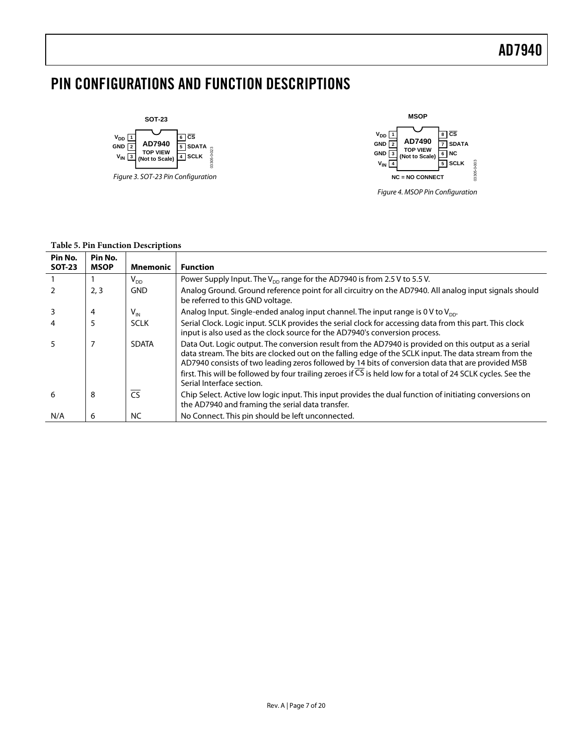## <span id="page-6-0"></span>PIN CONFIGURATIONS AND FUNCTION DESCRIPTIONS



*Figure 3. SOT-23 Pin Configuration*



*Figure 4. MSOP Pin Configuration*

#### **Table 5. Pin Function Descriptions**

| Pin No.<br><b>SOT-23</b> | Pin No.<br><b>MSOP</b> | <b>Mnemonic</b>        | <b>Function</b>                                                                                                                                                                                                                                                                                                                                                                                                                                                  |
|--------------------------|------------------------|------------------------|------------------------------------------------------------------------------------------------------------------------------------------------------------------------------------------------------------------------------------------------------------------------------------------------------------------------------------------------------------------------------------------------------------------------------------------------------------------|
|                          |                        | $V_{DD}$               | Power Supply Input. The $V_{DD}$ range for the AD7940 is from 2.5 V to 5.5 V.                                                                                                                                                                                                                                                                                                                                                                                    |
|                          | 2, 3                   | <b>GND</b>             | Analog Ground. Ground reference point for all circuitry on the AD7940. All analog input signals should<br>be referred to this GND voltage.                                                                                                                                                                                                                                                                                                                       |
|                          | 4                      | $V_{IN}$               | Analog Input. Single-ended analog input channel. The input range is 0 V to $V_{\text{DD}}$ .                                                                                                                                                                                                                                                                                                                                                                     |
|                          | 5                      | <b>SCLK</b>            | Serial Clock. Logic input. SCLK provides the serial clock for accessing data from this part. This clock<br>input is also used as the clock source for the AD7940's conversion process.                                                                                                                                                                                                                                                                           |
| 5                        | 7                      | <b>SDATA</b>           | Data Out. Logic output. The conversion result from the AD7940 is provided on this output as a serial<br>data stream. The bits are clocked out on the falling edge of the SCLK input. The data stream from the<br>AD7940 consists of two leading zeros followed by 14 bits of conversion data that are provided MSB<br>first. This will be followed by four trailing zeroes if CS is held low for a total of 24 SCLK cycles. See the<br>Serial Interface section. |
| 6                        | 8                      | $\overline{\text{CS}}$ | Chip Select. Active low logic input. This input provides the dual function of initiating conversions on<br>the AD7940 and framing the serial data transfer.                                                                                                                                                                                                                                                                                                      |
| N/A                      | 6                      | <b>NC</b>              | No Connect. This pin should be left unconnected.                                                                                                                                                                                                                                                                                                                                                                                                                 |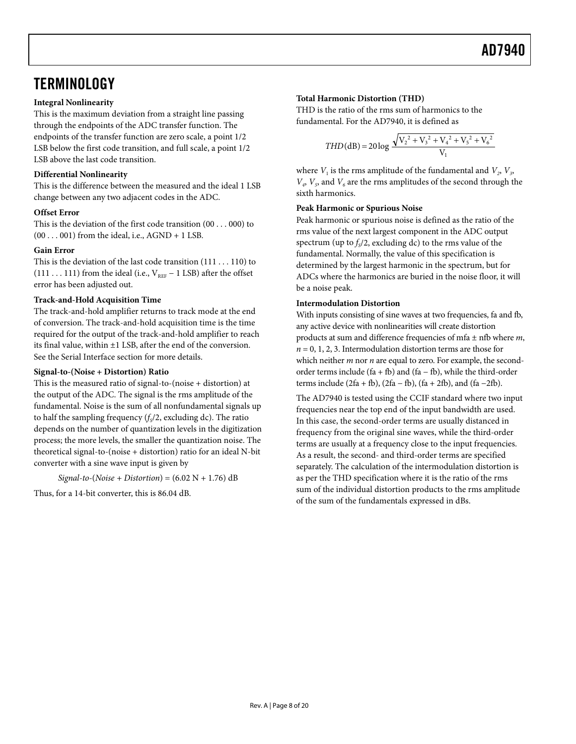## <span id="page-7-0"></span>**TERMINOLOGY**

#### **Integral Nonlinearity**

This is the maximum deviation from a straight line passing through the endpoints of the ADC transfer function. The endpoints of the transfer function are zero scale, a point 1/2 LSB below the first code transition, and full scale, a point 1/2 LSB above the last code transition.

### **Differential Nonlinearity**

This is the difference between the measured and the ideal 1 LSB change between any two adjacent codes in the ADC.

### **Offset Error**

This is the deviation of the first code transition (00 . . . 000) to  $(00 \ldots 001)$  from the ideal, i.e., AGND + 1 LSB.

#### **Gain Error**

This is the deviation of the last code transition (111 . . . 110) to (111 . . . 111) from the ideal (i.e.,  $V_{REF}$  – 1 LSB) after the offset error has been adjusted out.

### **Track-and-Hold Acquisition Time**

The track-and-hold amplifier returns to track mode at the end of conversion. The track-and-hold acquisition time is the time required for the output of the track-and-hold amplifier to reach its final value, within ±1 LSB, after the end of the conversion. See the [Serial Interface](#page-15-0) section for more details.

#### **Signal-to-(Noise + Distortion) Ratio**

This is the measured ratio of signal-to-(noise + distortion) at the output of the ADC. The signal is the rms amplitude of the fundamental. Noise is the sum of all nonfundamental signals up to half the sampling frequency  $(f_s/2,$  excluding dc). The ratio depends on the number of quantization levels in the digitization process; the more levels, the smaller the quantization noise. The theoretical signal-to-(noise + distortion) ratio for an ideal N-bit converter with a sine wave input is given by

$$
Signal-to-(Noise + Distribution) = (6.02 N + 1.76) dB
$$

Thus, for a 14-bit converter, this is 86.04 dB.

### **Total Harmonic Distortion (THD)**

THD is the ratio of the rms sum of harmonics to the fundamental. For the AD7940, it is defined as

$$
THD(dB) = 20 \log \frac{\sqrt{V_2^2 + V_3^2 + V_4^2 + V_5^2 + V_6^2}}{V_1}
$$

where  $V_1$  is the rms amplitude of the fundamental and  $V_2$ ,  $V_3$ ,  $V_a$ ,  $V_5$  and  $V_6$  are the rms amplitudes of the second through the sixth harmonics.

#### **Peak Harmonic or Spurious Noise**

Peak harmonic or spurious noise is defined as the ratio of the rms value of the next largest component in the ADC output spectrum (up to  $f_s/2$ , excluding dc) to the rms value of the fundamental. Normally, the value of this specification is determined by the largest harmonic in the spectrum, but for ADCs where the harmonics are buried in the noise floor, it will be a noise peak.

#### **Intermodulation Distortion**

With inputs consisting of sine waves at two frequencies, fa and fb, any active device with nonlinearities will create distortion products at sum and difference frequencies of mfa ± nfb where *m*,  $n = 0, 1, 2, 3$ . Intermodulation distortion terms are those for which neither *m* nor *n* are equal to zero. For example, the secondorder terms include (fa + fb) and (fa – fb), while the third-order terms include (2fa + fb), (2fa – fb), (fa + 2fb), and (fa –2fb).

The AD7940 is tested using the CCIF standard where two input frequencies near the top end of the input bandwidth are used. In this case, the second-order terms are usually distanced in frequency from the original sine waves, while the third-order terms are usually at a frequency close to the input frequencies. As a result, the second- and third-order terms are specified separately. The calculation of the intermodulation distortion is as per the THD specification where it is the ratio of the rms sum of the individual distortion products to the rms amplitude of the sum of the fundamentals expressed in dBs.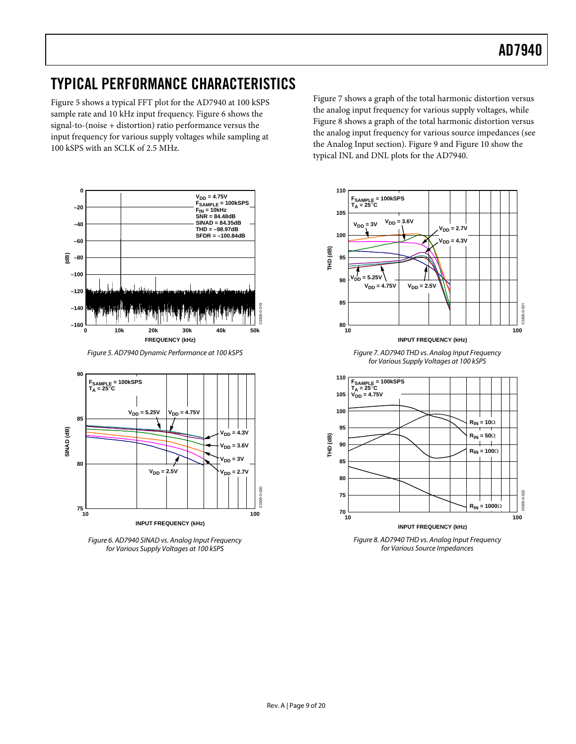## <span id="page-8-0"></span>TYPICAL PERFORMANCE CHARACTERISTICS

[Figure 5](#page-8-1) shows a typical FFT plot for the AD7940 at 100 kSPS sample rate and 10 kHz input frequency. [Figure 6](#page-8-2) shows the signal-to-(noise + distortion) ratio performance versus the input frequency for various supply voltages while sampling at 100 kSPS with an SCLK of 2.5 MHz.



*Figure 5. AD7940 Dynamic Performance at 100 kSPS*

<span id="page-8-1"></span>

<span id="page-8-2"></span>*Figure 6. AD7940 SINAD vs. Analog Input Frequency for Various Supply Voltages at 100 kSPS*

[Figure 7](#page-8-3) shows a graph of the total harmonic distortion versus the analog input frequency for various supply voltages, while [Figure 8](#page-8-4) shows a graph of the total harmonic distortion versus the analog input frequency for various source impedances (see the [Analog Input](#page-10-2) section)[. Figure 9](#page-9-0) an[d Figure 10](#page-9-1) show the typical INL and DNL plots for the AD7940.

<span id="page-8-3"></span>

<span id="page-8-4"></span>**INPUT FREQUENCY (kHz)** *Figure 8. AD7940 THD vs. Analog Input Frequency for Various Source Impedances*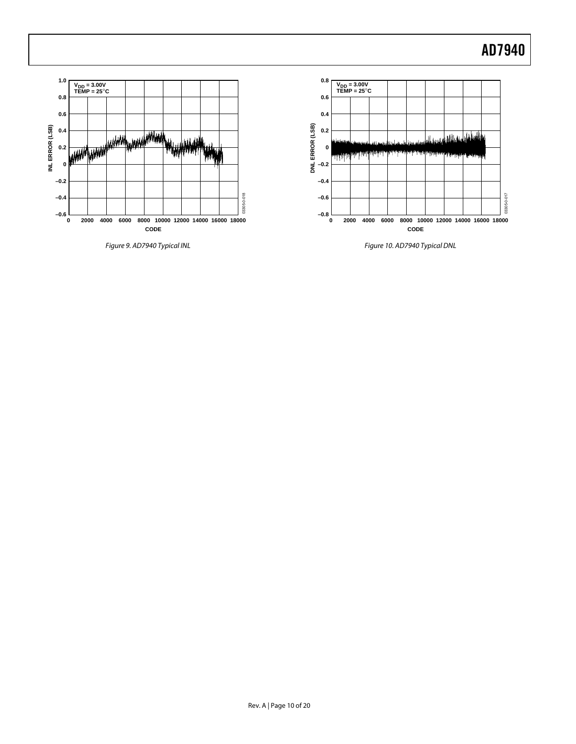

<span id="page-9-0"></span>*Figure 9. AD7940 Typical INL*

<span id="page-9-1"></span>*Figure 10. AD7940 Typical DNL*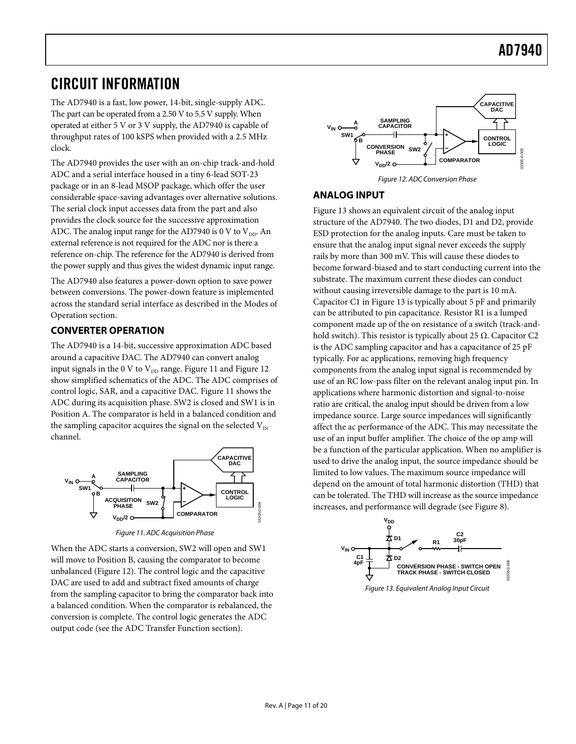## <span id="page-10-0"></span>CIRCUIT INFORMATION

The AD7940 is a fast, low power, 14-bit, single-supply ADC. The part can be operated from a 2.50 V to 5.5 V supply. When operated at either 5 V or 3 V supply, the AD7940 is capable of throughput rates of 100 kSPS when provided with a 2.5 MHz clock.

The AD7940 provides the user with an on-chip track-and-hold ADC and a serial interface housed in a tiny 6-lead SOT-23 package or in an 8-lead MSOP package, which offer the user considerable space-saving advantages over alternative solutions. The serial clock input accesses data from the part and also provides the clock source for the successive approximation ADC. The analog input range for the AD7940 is 0 V to  $V_{DD}$ . An external reference is not required for the ADC nor is there a reference on-chip. The reference for the AD7940 is derived from the power supply and thus gives the widest dynamic input range.

The AD7940 also features a power-down option to save power between conversions. The power-down feature is implemented across the standard serial interface as described in th[e Modes of](#page-12-0)  [Operation](#page-12-0) section.

### <span id="page-10-1"></span>**CONVERTER OPERATION**

The AD7940 is a 14-bit, successive approximation ADC based around a capacitive DAC. The AD7940 can convert analog input signals in the 0 V to  $V_{DD}$  range. [Figure 11](#page-10-3) an[d Figure 12](#page-10-4) show simplified schematics of the ADC. The ADC comprises of control logic, SAR, and a capacitive DAC[. Figure 11](#page-10-3) shows the ADC during its acquisition phase. SW2 is closed and SW1 is in Position A. The comparator is held in a balanced condition and the sampling capacitor acquires the signal on the selected  $V_{1N}$ channel.



*Figure 11. ADC Acquisition Phase*

<span id="page-10-3"></span>When the ADC starts a conversion, SW2 will open and SW1 will move to Position B, causing the comparator to become unbalanced [\(Figure 12\)](#page-10-4). The control logic and the capacitive DAC are used to add and subtract fixed amounts of charge from the sampling capacitor to bring the comparator back into a balanced condition. When the comparator is rebalanced, the conversion is complete. The control logic generates the ADC output code (see the [ADC Transfer Function](#page-11-0) section).



*Figure 12. ADC Conversion Phase*

### <span id="page-10-4"></span><span id="page-10-2"></span>**ANALOG INPUT**

[Figure 13](#page-10-5) shows an equivalent circuit of the analog input structure of the AD7940. The two diodes, D1 and D2, provide ESD protection for the analog inputs. Care must be taken to ensure that the analog input signal never exceeds the supply rails by more than 300 mV. This will cause these diodes to become forward-biased and to start conducting current into the substrate. The maximum current these diodes can conduct without causing irreversible damage to the part is 10 mA. Capacitor C1 in [Figure 13](#page-10-5) is typically about 5 pF and primarily can be attributed to pin capacitance. Resistor R1 is a lumped component made up of the on resistance of a switch (track-andhold switch). This resistor is typically about 25  $\Omega$ . Capacitor C2 is the ADC sampling capacitor and has a capacitance of 25 pF typically. For ac applications, removing high frequency components from the analog input signal is recommended by use of an RC low-pass filter on the relevant analog input pin. In applications where harmonic distortion and signal-to-noise ratio are critical, the analog input should be driven from a low impedance source. Large source impedances will significantly affect the ac performance of the ADC. This may necessitate the use of an input buffer amplifier. The choice of the op amp will be a function of the particular application. When no amplifier is used to drive the analog input, the source impedance should be limited to low values. The maximum source impedance will depend on the amount of total harmonic distortion (THD) that can be tolerated. The THD will increase as the source impedance increases, and performance will degrade (see [Figure 8\)](#page-8-4).



<span id="page-10-5"></span>*Figure 13. Equivalent Analog Input Circuit*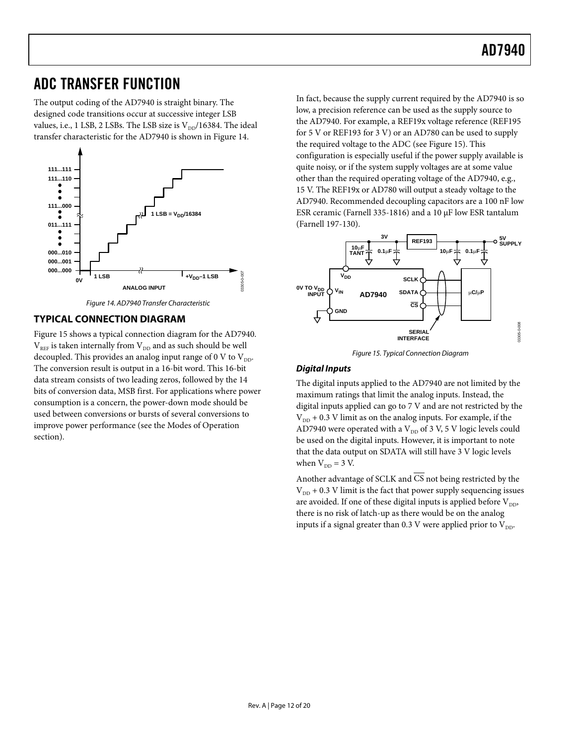## <span id="page-11-0"></span>ADC TRANSFER FUNCTION

The output coding of the AD7940 is straight binary. The designed code transitions occur at successive integer LSB values, i.e., 1 LSB, 2 LSBs. The LSB size is  $V_{\text{DD}}/16384$ . The ideal transfer characteristic for the AD7940 is shown in [Figure 14.](#page-11-2) 



*Figure 14. AD7940 Transfer Characteristic*

### <span id="page-11-2"></span><span id="page-11-1"></span>**TYPICAL CONNECTION DIAGRAM**

[Figure 15](#page-11-3) shows a typical connection diagram for the AD7940.  $V_{REF}$  is taken internally from  $V_{DD}$  and as such should be well decoupled. This provides an analog input range of 0 V to  $V_{\text{DD}}$ . The conversion result is output in a 16-bit word. This 16-bit data stream consists of two leading zeros, followed by the 14 bits of conversion data, MSB first. For applications where power consumption is a concern, the power-down mode should be used between conversions or bursts of several conversions to improve power performance (see the [Modes of Operation](#page-12-0)  section).

In fact, because the supply current required by the AD7940 is so low, a precision reference can be used as the supply source to the AD7940. For example, a REF19x voltage reference (REF195 for 5 V or REF193 for 3 V) or an AD780 can be used to supply the required voltage to the ADC (see [Figure 15\)](#page-11-3). This configuration is especially useful if the power supply available is quite noisy, or if the system supply voltages are at some value other than the required operating voltage of the AD7940, e.g., 15 V. The REF19x or [AD780 w](www.analog.com/AD780)ill output a steady voltage to the AD7940. Recommended decoupling capacitors are a 100 nF low ESR ceramic (Farnell 335-1816) and a 10 µF low ESR tantalum (Farnell 197-130).



*Figure 15. Typical Connection Diagram*

### <span id="page-11-3"></span>*Digital Inputs*

The digital inputs applied to the AD7940 are not limited by the maximum ratings that limit the analog inputs. Instead, the digital inputs applied can go to 7 V and are not restricted by the  $V_{DD}$  + 0.3 V limit as on the analog inputs. For example, if the AD7940 were operated with a  $V_{DD}$  of 3 V, 5 V logic levels could be used on the digital inputs. However, it is important to note that the data output on SDATA will still have 3 V logic levels when  $V_{DD} = 3 V$ .

Another advantage of SCLK and CS not being restricted by the  $V_{DD}$  + 0.3 V limit is the fact that power supply sequencing issues are avoided. If one of these digital inputs is applied before  $V_{DD}$ , there is no risk of latch-up as there would be on the analog inputs if a signal greater than 0.3 V were applied prior to  $V_{DD}$ .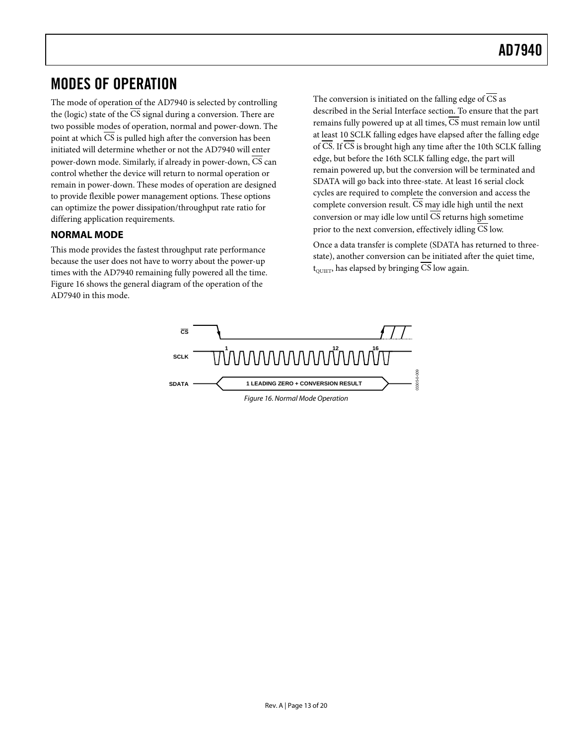## <span id="page-12-0"></span>MODES OF OPERATION

The mode of operation of the AD7940 is selected by controlling the (logic) state of the  $\overline{\text{CS}}$  signal during a conversion. There are two possible modes of operation, normal and power-down. The point at which  $\overline{CS}$  is pulled high after the conversion has been initiated will determine whether or not the AD7940 will enter power-down mode. Similarly, if already in power-down,  $\overline{CS}$  can control whether the device will return to normal operation or remain in power-down. These modes of operation are designed to provide flexible power management options. These options can optimize the power dissipation/throughput rate ratio for differing application requirements.

### <span id="page-12-1"></span>**NORMAL MODE**

This mode provides the fastest throughput rate performance because the user does not have to worry about the power-up times with the AD7940 remaining fully powered all the time. [Figure 16](#page-12-2) shows the general diagram of the operation of the AD7940 in this mode.

The conversion is initiated on the falling edge of  $\overline{CS}$  as described in the [Serial Interface](#page-15-0) section. To ensure that the part remains fully powered up at all times, CS must remain low until at least 10 SCLK falling edges have elapsed after the falling edge of  $\overline{CS}$ . If  $\overline{CS}$  is brought high any time after the 10th SCLK falling edge, but before the 16th SCLK falling edge, the part will remain powered up, but the conversion will be terminated and SDATA will go back into three-state. At least 16 serial clock cycles are required to complete the conversion and access the complete conversion result.  $\overline{\text{CS}}$  may idle high until the next conversion or may idle low until  $\overline{\text{CS}}$  returns high sometime prior to the next conversion, effectively idling CS low.

Once a data transfer is complete (SDATA has returned to threestate), another conversion can be initiated after the quiet time,  $t_{\text{outer}}$ , has elapsed by bringing CS low again.

<span id="page-12-2"></span>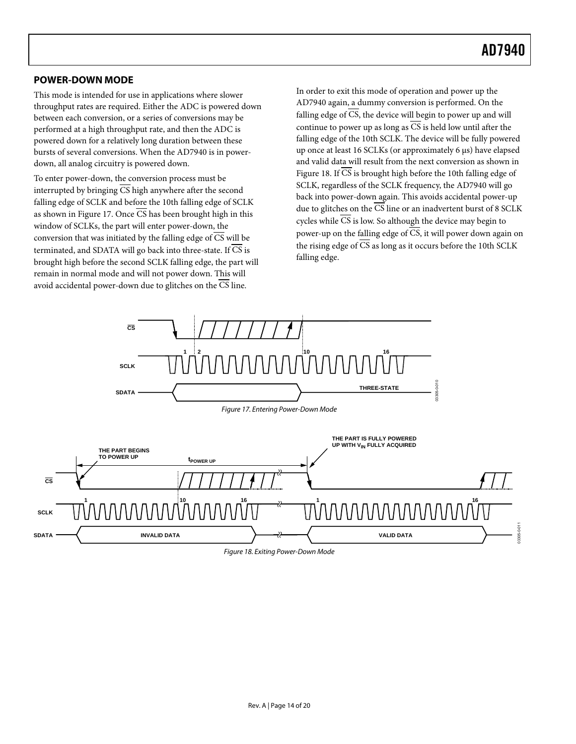### <span id="page-13-0"></span>**POWER-DOWN MODE**

This mode is intended for use in applications where slower throughput rates are required. Either the ADC is powered down between each conversion, or a series of conversions may be performed at a high throughput rate, and then the ADC is powered down for a relatively long duration between these bursts of several conversions. When the AD7940 is in powerdown, all analog circuitry is powered down.

To enter power-down, the conversion process must be interrupted by bringing CS high anywhere after the second falling edge of SCLK and before the 10th falling edge of SCLK as shown i[n Figure 17.](#page-13-1) Once  $\overline{CS}$  has been brought high in this window of SCLKs, the part will enter power-down, the conversion that was initiated by the falling edge of  $\overline{CS}$  will be terminated, and SDATA will go back into three-state. If  $\overline{\text{CS}}$  is brought high before the second SCLK falling edge, the part will remain in normal mode and will not power down. This will avoid accidental power-down due to glitches on the CS line.

In order to exit this mode of operation and power up the AD7940 again, a dummy conversion is performed. On the falling edge of CS, the device will begin to power up and will continue to power up as long as  $\overline{CS}$  is held low until after the falling edge of the 10th SCLK. The device will be fully powered up once at least 16 SCLKs (or approximately 6 µs) have elapsed and valid data will result from the next conversion as shown in [Figure 18.](#page-13-2) If  $\overline{CS}$  is brought high before the 10th falling edge of SCLK, regardless of the SCLK frequency, the AD7940 will go back into power-down again. This avoids accidental power-up due to glitches on the  $\overline{CS}$  line or an inadvertent burst of 8 SCLK cycles while CS is low. So although the device may begin to power-up on the falling edge of  $\overline{CS}$ , it will power down again on the rising edge of  $\overline{CS}$  as long as it occurs before the 10th SCLK falling edge.

<span id="page-13-2"></span><span id="page-13-1"></span>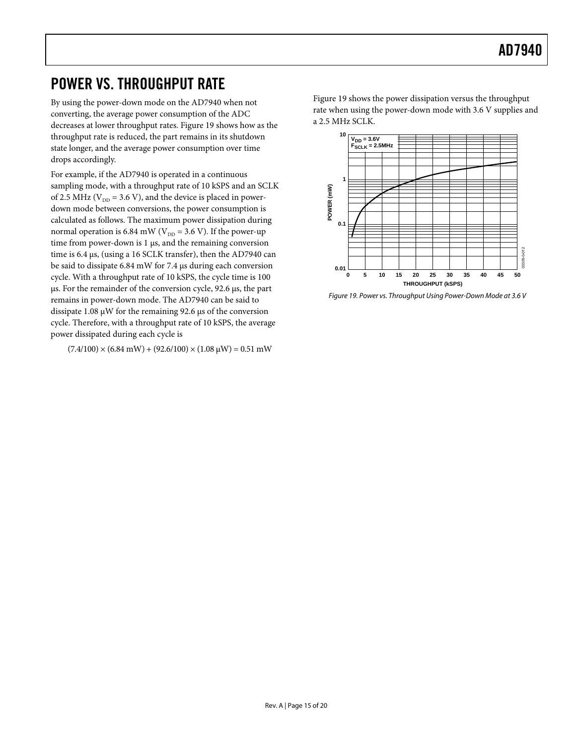## <span id="page-14-0"></span>POWER VS. THROUGHPUT RATE

By using the power-down mode on the AD7940 when not converting, the average power consumption of the ADC decreases at lower throughput rates. [Figure 19](#page-14-1) shows how as the throughput rate is reduced, the part remains in its shutdown state longer, and the average power consumption over time drops accordingly.

For example, if the AD7940 is operated in a continuous sampling mode, with a throughput rate of 10 kSPS and an SCLK of 2.5 MHz ( $V_{DD}$  = 3.6 V), and the device is placed in powerdown mode between conversions, the power consumption is calculated as follows. The maximum power dissipation during normal operation is 6.84 mW ( $V_{DD} = 3.6$  V). If the power-up time from power-down is 1 µs, and the remaining conversion time is 6.4 µs, (using a 16 SCLK transfer), then the AD7940 can be said to dissipate 6.84 mW for 7.4 µs during each conversion cycle. With a throughput rate of 10 kSPS, the cycle time is 100 µs. For the remainder of the conversion cycle, 92.6 µs, the part remains in power-down mode. The AD7940 can be said to dissipate 1.08 µW for the remaining 92.6 µs of the conversion cycle. Therefore, with a throughput rate of 10 kSPS, the average power dissipated during each cycle is

 $(7.4/100) \times (6.84 \text{ mW}) + (92.6/100) \times (1.08 \text{ µW}) = 0.51 \text{ mW}$ 

[Figure 19](#page-14-1) shows the power dissipation versus the throughput rate when using the power-down mode with 3.6 V supplies and a 2.5 MHz SCLK.



<span id="page-14-1"></span>*Figure 19. Power vs. Throughput Using Power-Down Mode at 3.6 V*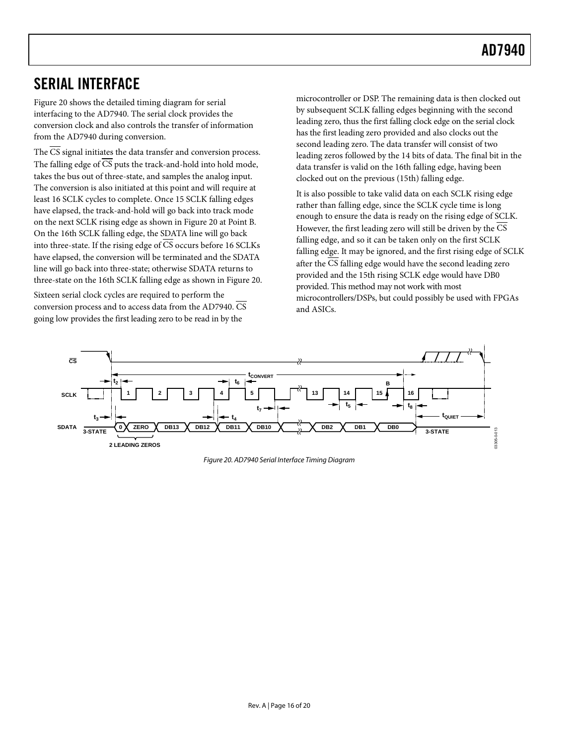## <span id="page-15-0"></span>SERIAL INTERFACE

[Figure 20](#page-15-1) shows the detailed timing diagram for serial interfacing to the AD7940. The serial clock provides the conversion clock and also controls the transfer of information from the AD7940 during conversion.

The  $\overline{\text{CS}}$  signal initiates the data transfer and conversion process. The falling edge of CS puts the track-and-hold into hold mode, takes the bus out of three-state, and samples the analog input. The conversion is also initiated at this point and will require at least 16 SCLK cycles to complete. Once 15 SCLK falling edges have elapsed, the track-and-hold will go back into track mode on the next SCLK rising edge as shown i[n Figure 20](#page-15-1) at Point B. On the 16th SCLK falling edge, the SDATA line will go back into three-state. If the rising edge of CS occurs before 16 SCLKs have elapsed, the conversion will be terminated and the SDATA line will go back into three-state; otherwise SDATA returns to three-state on the 16th SCLK falling edge as shown in [Figure 20.](#page-15-1) 

Sixteen serial clock cycles are required to perform the conversion process and to access data from the AD7940. CS going low provides the first leading zero to be read in by the

microcontroller or DSP. The remaining data is then clocked out by subsequent SCLK falling edges beginning with the second leading zero, thus the first falling clock edge on the serial clock has the first leading zero provided and also clocks out the second leading zero. The data transfer will consist of two leading zeros followed by the 14 bits of data. The final bit in the data transfer is valid on the 16th falling edge, having been clocked out on the previous (15th) falling edge.

It is also possible to take valid data on each SCLK rising edge rather than falling edge, since the SCLK cycle time is long enough to ensure the data is ready on the rising edge of SCLK. However, the first leading zero will still be driven by the CS falling edge, and so it can be taken only on the first SCLK falling edge. It may be ignored, and the first rising edge of SCLK after the  $\overline{\text{CS}}$  falling edge would have the second leading zero provided and the 15th rising SCLK edge would have DB0 provided. This method may not work with most microcontrollers/DSPs, but could possibly be used with FPGAs and ASICs.

<span id="page-15-1"></span>

*Figure 20. AD7940 Serial Interface Timing Diagram*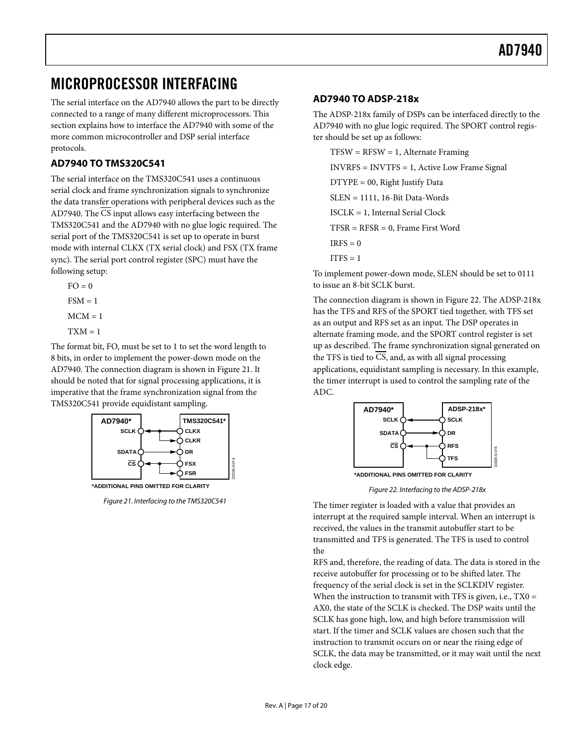## <span id="page-16-0"></span>MICROPROCESSOR INTERFACING

The serial interface on the AD7940 allows the part to be directly connected to a range of many different microprocessors. This section explains how to interface the AD7940 with some of the more common microcontroller and DSP serial interface protocols.

### <span id="page-16-1"></span>**AD7940 TO TMS320C541**

The serial interface on the TMS320C541 uses a continuous serial clock and frame synchronization signals to synchronize the data transfer operations with peripheral devices such as the AD7940. The CS input allows easy interfacing between the TMS320C541 and the AD7940 with no glue logic required. The serial port of the TMS320C541 is set up to operate in burst mode with internal CLKX (TX serial clock) and FSX (TX frame sync). The serial port control register (SPC) must have the following setup:

 $FO = 0$  $FSM = 1$  $MCM = 1$  $TXM = 1$ 

The format bit, FO, must be set to 1 to set the word length to 8 bits, in order to implement the power-down mode on the AD7940. The connection diagram is shown in [Figure 21.](#page-16-3) It should be noted that for signal processing applications, it is imperative that the frame synchronization signal from the TMS320C541 provide equidistant sampling.



<span id="page-16-3"></span>*Figure 21. Interfacing to the TMS320C541*

### <span id="page-16-2"></span>**AD7940 TO ADSP-218x**

The ADSP-218x family of DSPs can be interfaced directly to the AD7940 with no glue logic required. The SPORT control register should be set up as follows:

 $TFSW = RFSW = 1$ , Alternate Framing INVRFS = INVTFS = 1, Active Low Frame Signal DTYPE = 00, Right Justify Data SLEN = 1111, 16-Bit Data-Words ISCLK = 1, Internal Serial Clock TFSR = RFSR = 0, Frame First Word  $IRFS = 0$  $ITFS = 1$ 

To implement power-down mode, SLEN should be set to 0111 to issue an 8-bit SCLK burst.

The connection diagram is shown in [Figure 22.](#page-16-4) The ADSP-218x has the TFS and RFS of the SPORT tied together, with TFS set as an output and RFS set as an input. The DSP operates in alternate framing mode, and the SPORT control register is set up as described. The frame synchronization signal generated on the TFS is tied to CS, and, as with all signal processing applications, equidistant sampling is necessary. In this example, the timer interrupt is used to control the sampling rate of the ADC.



**\*ADDITIONAL PINS OMITTED FOR CLARITY**

*Figure 22. Interfacing to the ADSP-218x*

<span id="page-16-4"></span>The timer register is loaded with a value that provides an interrupt at the required sample interval. When an interrupt is received, the values in the transmit autobuffer start to be transmitted and TFS is generated. The TFS is used to control the

RFS and, therefore, the reading of data. The data is stored in the receive autobuffer for processing or to be shifted later. The frequency of the serial clock is set in the SCLKDIV register. When the instruction to transmit with TFS is given, i.e.,  $TX0 =$ AX0, the state of the SCLK is checked. The DSP waits until the SCLK has gone high, low, and high before transmission will start. If the timer and SCLK values are chosen such that the instruction to transmit occurs on or near the rising edge of SCLK, the data may be transmitted, or it may wait until the next clock edge.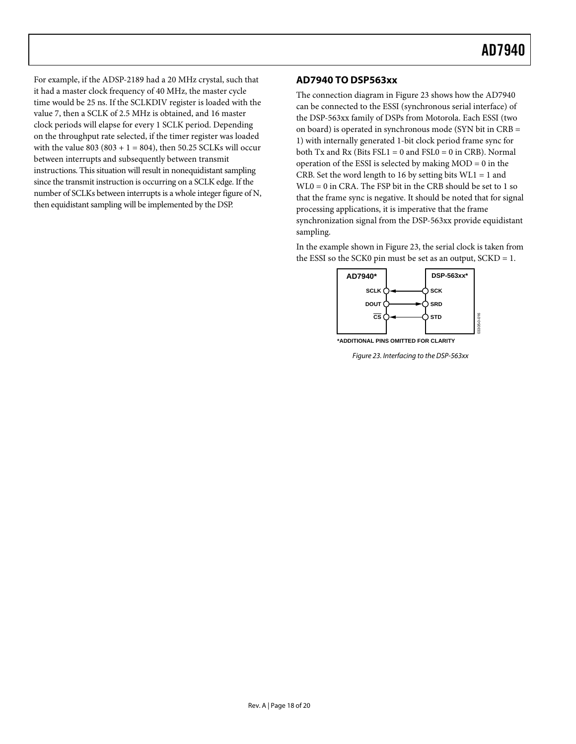For example, if the ADSP-2189 had a 20 MHz crystal, such that it had a master clock frequency of 40 MHz, the master cycle time would be 25 ns. If the SCLKDIV register is loaded with the value 7, then a SCLK of 2.5 MHz is obtained, and 16 master clock periods will elapse for every 1 SCLK period. Depending on the throughput rate selected, if the timer register was loaded with the value  $803 (803 + 1 = 804)$ , then 50.25 SCLKs will occur between interrupts and subsequently between transmit instructions. This situation will result in nonequidistant sampling since the transmit instruction is occurring on a SCLK edge. If the number of SCLKs between interrupts is a whole integer figure of N, then equidistant sampling will be implemented by the DSP.

### <span id="page-17-0"></span>**AD7940 TO DSP563xx**

The connection diagram i[n Figure 23](#page-17-1) shows how the AD7940 can be connected to the ESSI (synchronous serial interface) of the DSP-563xx family of DSPs from Motorola. Each ESSI (two on board) is operated in synchronous mode (SYN bit in CRB = 1) with internally generated 1-bit clock period frame sync for both Tx and Rx (Bits FSL1 = 0 and FSL0 = 0 in CRB). Normal operation of the ESSI is selected by making  $MOD = 0$  in the CRB. Set the word length to 16 by setting bits  $WLI = 1$  and WL0 = 0 in CRA. The FSP bit in the CRB should be set to 1 so that the frame sync is negative. It should be noted that for signal processing applications, it is imperative that the frame synchronization signal from the DSP-563xx provide equidistant sampling.

In the example shown in [Figure 23,](#page-17-1) the serial clock is taken from the ESSI so the SCK0 pin must be set as an output, SCKD = 1.



<span id="page-17-1"></span>

*Figure 23. Interfacing to the DSP-563xx*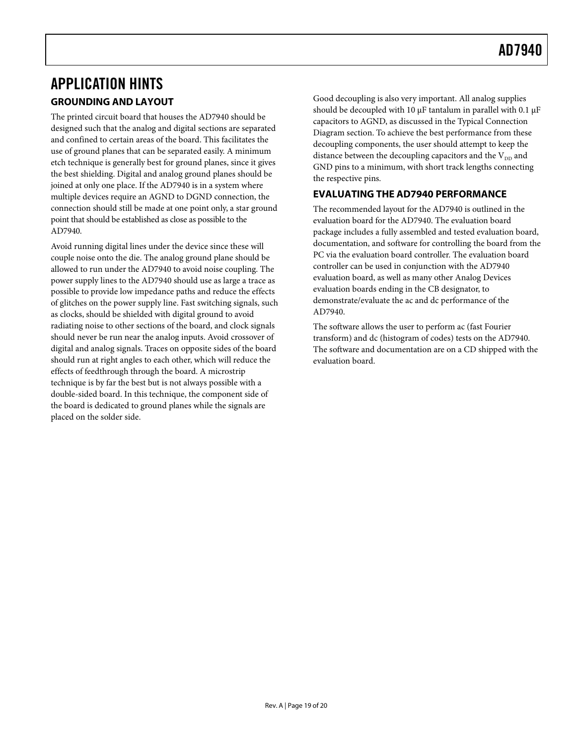## <span id="page-18-1"></span><span id="page-18-0"></span>APPLICATION HINTS **GROUNDING AND LAYOUT**

The printed circuit board that houses the AD7940 should be designed such that the analog and digital sections are separated and confined to certain areas of the board. This facilitates the use of ground planes that can be separated easily. A minimum etch technique is generally best for ground planes, since it gives the best shielding. Digital and analog ground planes should be joined at only one place. If the AD7940 is in a system where multiple devices require an AGND to DGND connection, the connection should still be made at one point only, a star ground point that should be established as close as possible to the AD7940.

Avoid running digital lines under the device since these will couple noise onto the die. The analog ground plane should be allowed to run under the AD7940 to avoid noise coupling. The power supply lines to the AD7940 should use as large a trace as possible to provide low impedance paths and reduce the effects of glitches on the power supply line. Fast switching signals, such as clocks, should be shielded with digital ground to avoid radiating noise to other sections of the board, and clock signals should never be run near the analog inputs. Avoid crossover of digital and analog signals. Traces on opposite sides of the board should run at right angles to each other, which will reduce the effects of feedthrough through the board. A microstrip technique is by far the best but is not always possible with a double-sided board. In this technique, the component side of the board is dedicated to ground planes while the signals are placed on the solder side.

Good decoupling is also very important. All analog supplies should be decoupled with 10  $\mu$ F tantalum in parallel with 0.1  $\mu$ F capacitors to AGND, as discussed in th[e Typical Connection](#page-11-1)  [Diagram](#page-11-1) section. To achieve the best performance from these decoupling components, the user should attempt to keep the distance between the decoupling capacitors and the  $V_{DD}$  and GND pins to a minimum, with short track lengths connecting the respective pins.

### <span id="page-18-2"></span>**EVALUATING THE AD7940 PERFORMANCE**

The recommended layout for the AD7940 is outlined in the evaluation board for the AD7940. The evaluation board package includes a fully assembled and tested evaluation board, documentation, and software for controlling the board from the PC via the evaluation board controller. The evaluation board controller can be used in conjunction with the AD7940 evaluation board, as well as many other Analog Devices evaluation boards ending in the CB designator, to demonstrate/evaluate the ac and dc performance of the AD7940.

The software allows the user to perform ac (fast Fourier transform) and dc (histogram of codes) tests on the AD7940. The software and documentation are on a CD shipped with the evaluation board.